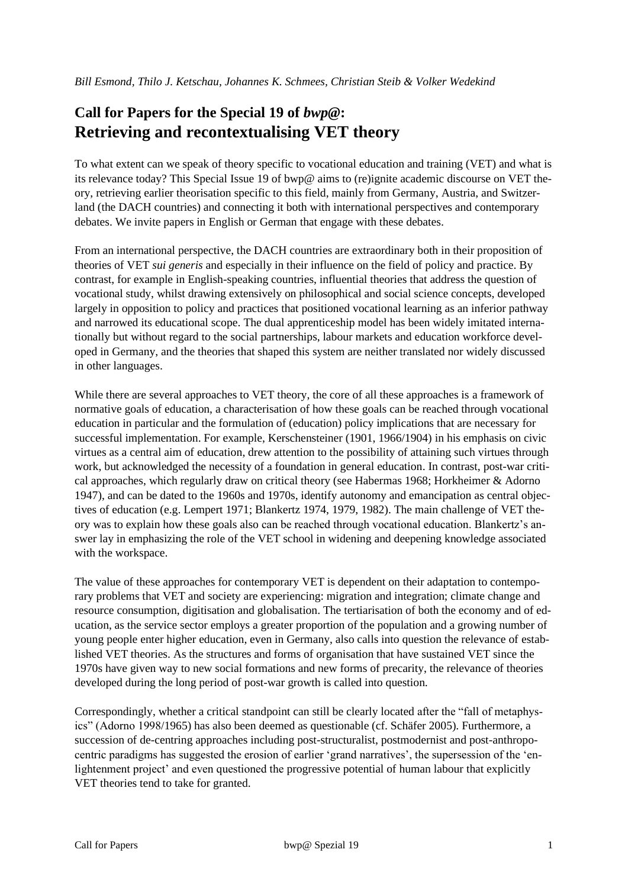# **Call for Papers for the Special 19 of** *bwp@***: Retrieving and recontextualising VET theory**

To what extent can we speak of theory specific to vocational education and training (VET) and what is its relevance today? This Special Issue 19 of bwp@ aims to (re)ignite academic discourse on VET theory, retrieving earlier theorisation specific to this field, mainly from Germany, Austria, and Switzerland (the DACH countries) and connecting it both with international perspectives and contemporary debates. We invite papers in English or German that engage with these debates.

From an international perspective, the DACH countries are extraordinary both in their proposition of theories of VET *sui generis* and especially in their influence on the field of policy and practice. By contrast, for example in English-speaking countries, influential theories that address the question of vocational study, whilst drawing extensively on philosophical and social science concepts, developed largely in opposition to policy and practices that positioned vocational learning as an inferior pathway and narrowed its educational scope. The dual apprenticeship model has been widely imitated internationally but without regard to the social partnerships, labour markets and education workforce developed in Germany, and the theories that shaped this system are neither translated nor widely discussed in other languages.

While there are several approaches to VET theory, the core of all these approaches is a framework of normative goals of education, a characterisation of how these goals can be reached through vocational education in particular and the formulation of (education) policy implications that are necessary for successful implementation. For example, Kerschensteiner (1901, 1966/1904) in his emphasis on civic virtues as a central aim of education, drew attention to the possibility of attaining such virtues through work, but acknowledged the necessity of a foundation in general education. In contrast, post-war critical approaches, which regularly draw on critical theory (see Habermas 1968; Horkheimer & Adorno 1947), and can be dated to the 1960s and 1970s, identify autonomy and emancipation as central objectives of education (e.g. Lempert 1971; Blankertz 1974, 1979, 1982). The main challenge of VET theory was to explain how these goals also can be reached through vocational education. Blankertz's answer lay in emphasizing the role of the VET school in widening and deepening knowledge associated with the workspace.

The value of these approaches for contemporary VET is dependent on their adaptation to contemporary problems that VET and society are experiencing: migration and integration; climate change and resource consumption, digitisation and globalisation. The tertiarisation of both the economy and of education, as the service sector employs a greater proportion of the population and a growing number of young people enter higher education, even in Germany, also calls into question the relevance of established VET theories. As the structures and forms of organisation that have sustained VET since the 1970s have given way to new social formations and new forms of precarity, the relevance of theories developed during the long period of post-war growth is called into question.

Correspondingly, whether a critical standpoint can still be clearly located after the "fall of metaphysics" (Adorno 1998/1965) has also been deemed as questionable (cf. Schäfer 2005). Furthermore, a succession of de-centring approaches including post-structuralist, postmodernist and post-anthropocentric paradigms has suggested the erosion of earlier 'grand narratives', the supersession of the 'enlightenment project' and even questioned the progressive potential of human labour that explicitly VET theories tend to take for granted.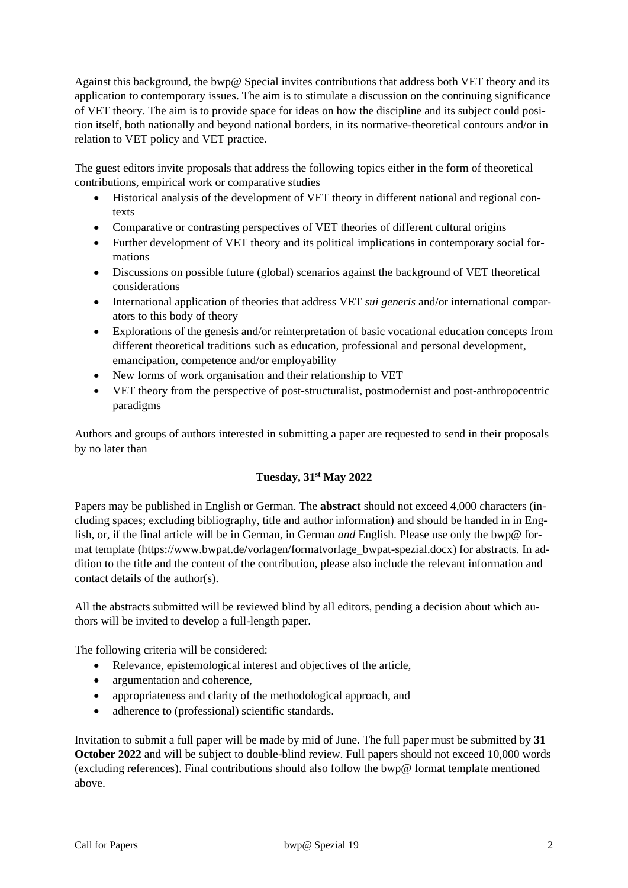Against this background, the bwp@ Special invites contributions that address both VET theory and its application to contemporary issues. The aim is to stimulate a discussion on the continuing significance of VET theory. The aim is to provide space for ideas on how the discipline and its subject could position itself, both nationally and beyond national borders, in its normative-theoretical contours and/or in relation to VET policy and VET practice.

The guest editors invite proposals that address the following topics either in the form of theoretical contributions, empirical work or comparative studies

- Historical analysis of the development of VET theory in different national and regional contexts
- Comparative or contrasting perspectives of VET theories of different cultural origins
- Further development of VET theory and its political implications in contemporary social formations
- Discussions on possible future (global) scenarios against the background of VET theoretical considerations
- International application of theories that address VET *sui generis* and/or international comparators to this body of theory
- Explorations of the genesis and/or reinterpretation of basic vocational education concepts from different theoretical traditions such as education, professional and personal development, emancipation, competence and/or employability
- New forms of work organisation and their relationship to VET
- VET theory from the perspective of post-structuralist, postmodernist and post-anthropocentric paradigms

Authors and groups of authors interested in submitting a paper are requested to send in their proposals by no later than

## **Tuesday, 31st May 2022**

Papers may be published in English or German. The **abstract** should not exceed 4,000 characters (including spaces; excluding bibliography, title and author information) and should be handed in in English, or, if the final article will be in German, in German *and* English. Please use only the bwp@ format template (https://www.bwpat.de/vorlagen/formatvorlage\_bwpat-spezial.docx) for abstracts. In addition to the title and the content of the contribution, please also include the relevant information and contact details of the author(s).

All the abstracts submitted will be reviewed blind by all editors, pending a decision about which authors will be invited to develop a full-length paper.

The following criteria will be considered:

- Relevance, epistemological interest and objectives of the article,
- argumentation and coherence.
- appropriateness and clarity of the methodological approach, and
- adherence to (professional) scientific standards.

Invitation to submit a full paper will be made by mid of June. The full paper must be submitted by **31 October 2022** and will be subject to double-blind review. Full papers should not exceed 10,000 words (excluding references). Final contributions should also follow the bwp@ format template mentioned above.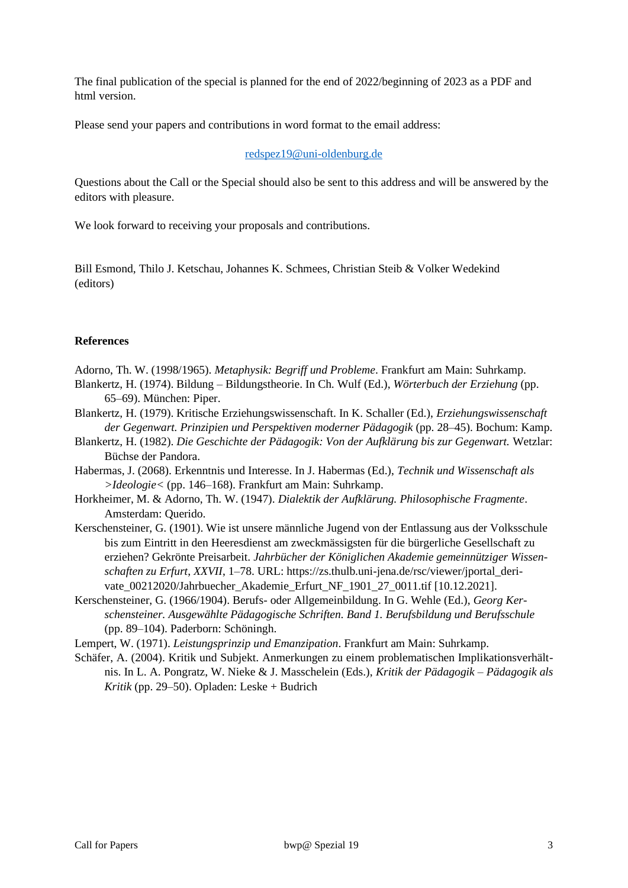The final publication of the special is planned for the end of 2022/beginning of 2023 as a PDF and html version.

Please send your papers and contributions in word format to the email address:

#### [redspez19@uni-oldenburg.de](mailto:redspez19@uni-oldenburg.de)

Questions about the Call or the Special should also be sent to this address and will be answered by the editors with pleasure.

We look forward to receiving your proposals and contributions.

Bill Esmond, Thilo J. Ketschau, Johannes K. Schmees, Christian Steib & Volker Wedekind (editors)

### **References**

- Adorno, Th. W. (1998/1965). *Metaphysik: Begriff und Probleme*. Frankfurt am Main: Suhrkamp.
- Blankertz, H. (1974). Bildung Bildungstheorie. In Ch. Wulf (Ed.), *Wörterbuch der Erziehung* (pp. 65–69). München: Piper.
- Blankertz, H. (1979). Kritische Erziehungswissenschaft. In K. Schaller (Ed.), *Erziehungswissenschaft der Gegenwart. Prinzipien und Perspektiven moderner Pädagogik* (pp. 28–45). Bochum: Kamp.
- Blankertz, H. (1982). *Die Geschichte der Pädagogik: Von der Aufklärung bis zur Gegenwart.* Wetzlar: Büchse der Pandora.
- Habermas, J. (2068). Erkenntnis und Interesse. In J. Habermas (Ed.), *Technik und Wissenschaft als >Ideologie<* (pp. 146–168). Frankfurt am Main: Suhrkamp.
- Horkheimer, M. & Adorno, Th. W. (1947). *Dialektik der Aufklärung. Philosophische Fragmente*. Amsterdam: Querido.
- Kerschensteiner, G. (1901). Wie ist unsere männliche Jugend von der Entlassung aus der Volksschule bis zum Eintritt in den Heeresdienst am zweckmässigsten für die bürgerliche Gesellschaft zu erziehen? Gekrönte Preisarbeit. *Jahrbücher der Königlichen Akademie gemeinnütziger Wissenschaften zu Erfurt*, *XXVII*, 1–78. URL: https://zs.thulb.uni-jena.de/rsc/viewer/jportal\_derivate\_00212020/Jahrbuecher\_Akademie\_Erfurt\_NF\_1901\_27\_0011.tif [10.12.2021].
- Kerschensteiner, G. (1966/1904). Berufs- oder Allgemeinbildung. In G. Wehle (Ed.), *Georg Kerschensteiner. Ausgewählte Pädagogische Schriften. Band 1. Berufsbildung und Berufsschule*  (pp. 89–104). Paderborn: Schöningh.
- Lempert, W. (1971). *Leistungsprinzip und Emanzipation*. Frankfurt am Main: Suhrkamp.
- Schäfer, A. (2004). Kritik und Subjekt. Anmerkungen zu einem problematischen Implikationsverhältnis. In L. A. Pongratz, W. Nieke & J. Masschelein (Eds.), *Kritik der Pädagogik – Pädagogik als Kritik* (pp. 29–50). Opladen: Leske + Budrich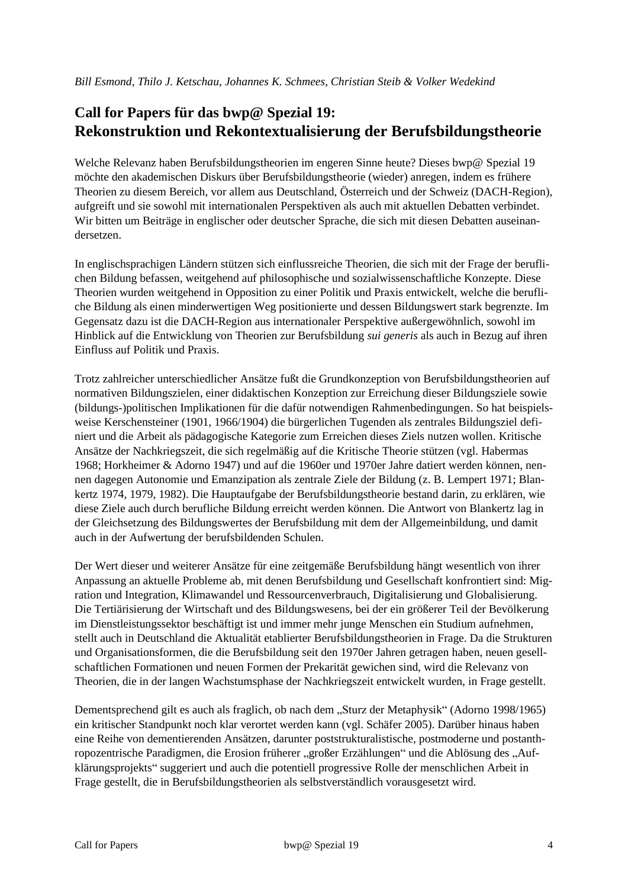## **Call for Papers für das bwp@ Spezial 19: Rekonstruktion und Rekontextualisierung der Berufsbildungstheorie**

Welche Relevanz haben Berufsbildungstheorien im engeren Sinne heute? Dieses bwp@ Spezial 19 möchte den akademischen Diskurs über Berufsbildungstheorie (wieder) anregen, indem es frühere Theorien zu diesem Bereich, vor allem aus Deutschland, Österreich und der Schweiz (DACH-Region), aufgreift und sie sowohl mit internationalen Perspektiven als auch mit aktuellen Debatten verbindet. Wir bitten um Beiträge in englischer oder deutscher Sprache, die sich mit diesen Debatten auseinandersetzen.

In englischsprachigen Ländern stützen sich einflussreiche Theorien, die sich mit der Frage der beruflichen Bildung befassen, weitgehend auf philosophische und sozialwissenschaftliche Konzepte. Diese Theorien wurden weitgehend in Opposition zu einer Politik und Praxis entwickelt, welche die berufliche Bildung als einen minderwertigen Weg positionierte und dessen Bildungswert stark begrenzte. Im Gegensatz dazu ist die DACH-Region aus internationaler Perspektive außergewöhnlich, sowohl im Hinblick auf die Entwicklung von Theorien zur Berufsbildung *sui generis* als auch in Bezug auf ihren Einfluss auf Politik und Praxis.

Trotz zahlreicher unterschiedlicher Ansätze fußt die Grundkonzeption von Berufsbildungstheorien auf normativen Bildungszielen, einer didaktischen Konzeption zur Erreichung dieser Bildungsziele sowie (bildungs-)politischen Implikationen für die dafür notwendigen Rahmenbedingungen. So hat beispielsweise Kerschensteiner (1901, 1966/1904) die bürgerlichen Tugenden als zentrales Bildungsziel definiert und die Arbeit als pädagogische Kategorie zum Erreichen dieses Ziels nutzen wollen. Kritische Ansätze der Nachkriegszeit, die sich regelmäßig auf die Kritische Theorie stützen (vgl. Habermas 1968; Horkheimer & Adorno 1947) und auf die 1960er und 1970er Jahre datiert werden können, nennen dagegen Autonomie und Emanzipation als zentrale Ziele der Bildung (z. B. Lempert 1971; Blankertz 1974, 1979, 1982). Die Hauptaufgabe der Berufsbildungstheorie bestand darin, zu erklären, wie diese Ziele auch durch berufliche Bildung erreicht werden können. Die Antwort von Blankertz lag in der Gleichsetzung des Bildungswertes der Berufsbildung mit dem der Allgemeinbildung, und damit auch in der Aufwertung der berufsbildenden Schulen.

Der Wert dieser und weiterer Ansätze für eine zeitgemäße Berufsbildung hängt wesentlich von ihrer Anpassung an aktuelle Probleme ab, mit denen Berufsbildung und Gesellschaft konfrontiert sind: Migration und Integration, Klimawandel und Ressourcenverbrauch, Digitalisierung und Globalisierung. Die Tertiärisierung der Wirtschaft und des Bildungswesens, bei der ein größerer Teil der Bevölkerung im Dienstleistungssektor beschäftigt ist und immer mehr junge Menschen ein Studium aufnehmen, stellt auch in Deutschland die Aktualität etablierter Berufsbildungstheorien in Frage. Da die Strukturen und Organisationsformen, die die Berufsbildung seit den 1970er Jahren getragen haben, neuen gesellschaftlichen Formationen und neuen Formen der Prekarität gewichen sind, wird die Relevanz von Theorien, die in der langen Wachstumsphase der Nachkriegszeit entwickelt wurden, in Frage gestellt.

Dementsprechend gilt es auch als fraglich, ob nach dem "Sturz der Metaphysik" (Adorno 1998/1965) ein kritischer Standpunkt noch klar verortet werden kann (vgl. Schäfer 2005). Darüber hinaus haben eine Reihe von dementierenden Ansätzen, darunter poststrukturalistische, postmoderne und postanthropozentrische Paradigmen, die Erosion früherer "großer Erzählungen" und die Ablösung des "Aufklärungsprojekts" suggeriert und auch die potentiell progressive Rolle der menschlichen Arbeit in Frage gestellt, die in Berufsbildungstheorien als selbstverständlich vorausgesetzt wird.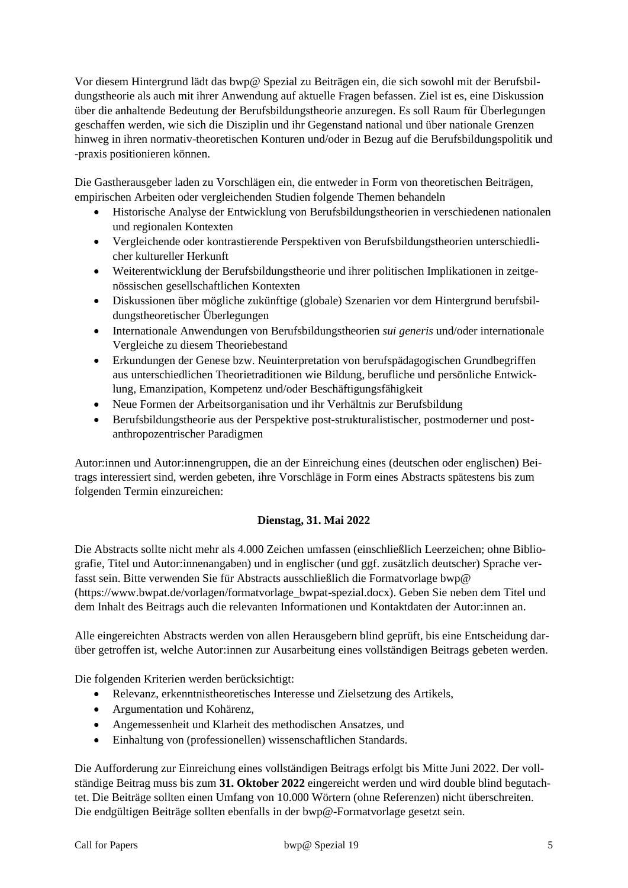Vor diesem Hintergrund lädt das bwp@ Spezial zu Beiträgen ein, die sich sowohl mit der Berufsbildungstheorie als auch mit ihrer Anwendung auf aktuelle Fragen befassen. Ziel ist es, eine Diskussion über die anhaltende Bedeutung der Berufsbildungstheorie anzuregen. Es soll Raum für Überlegungen geschaffen werden, wie sich die Disziplin und ihr Gegenstand national und über nationale Grenzen hinweg in ihren normativ-theoretischen Konturen und/oder in Bezug auf die Berufsbildungspolitik und -praxis positionieren können.

Die Gastherausgeber laden zu Vorschlägen ein, die entweder in Form von theoretischen Beiträgen, empirischen Arbeiten oder vergleichenden Studien folgende Themen behandeln

- Historische Analyse der Entwicklung von Berufsbildungstheorien in verschiedenen nationalen und regionalen Kontexten
- Vergleichende oder kontrastierende Perspektiven von Berufsbildungstheorien unterschiedlicher kultureller Herkunft
- Weiterentwicklung der Berufsbildungstheorie und ihrer politischen Implikationen in zeitgenössischen gesellschaftlichen Kontexten
- Diskussionen über mögliche zukünftige (globale) Szenarien vor dem Hintergrund berufsbildungstheoretischer Überlegungen
- Internationale Anwendungen von Berufsbildungstheorien *sui generis* und/oder internationale Vergleiche zu diesem Theoriebestand
- Erkundungen der Genese bzw. Neuinterpretation von berufspädagogischen Grundbegriffen aus unterschiedlichen Theorietraditionen wie Bildung, berufliche und persönliche Entwicklung, Emanzipation, Kompetenz und/oder Beschäftigungsfähigkeit
- Neue Formen der Arbeitsorganisation und ihr Verhältnis zur Berufsbildung
- Berufsbildungstheorie aus der Perspektive post-strukturalistischer, postmoderner und postanthropozentrischer Paradigmen

Autor:innen und Autor:innengruppen, die an der Einreichung eines (deutschen oder englischen) Beitrags interessiert sind, werden gebeten, ihre Vorschläge in Form eines Abstracts spätestens bis zum folgenden Termin einzureichen:

## **Dienstag, 31. Mai 2022**

Die Abstracts sollte nicht mehr als 4.000 Zeichen umfassen (einschließlich Leerzeichen; ohne Bibliografie, Titel und Autor:innenangaben) und in englischer (und ggf. zusätzlich deutscher) Sprache verfasst sein. Bitte verwenden Sie für Abstracts ausschließlich die Formatvorlage bwp@ (https://www.bwpat.de/vorlagen/formatvorlage\_bwpat-spezial.docx). Geben Sie neben dem Titel und dem Inhalt des Beitrags auch die relevanten Informationen und Kontaktdaten der Autor:innen an.

Alle eingereichten Abstracts werden von allen Herausgebern blind geprüft, bis eine Entscheidung darüber getroffen ist, welche Autor:innen zur Ausarbeitung eines vollständigen Beitrags gebeten werden.

Die folgenden Kriterien werden berücksichtigt:

- Relevanz, erkenntnistheoretisches Interesse und Zielsetzung des Artikels,
- Argumentation und Kohärenz,
- Angemessenheit und Klarheit des methodischen Ansatzes, und
- Einhaltung von (professionellen) wissenschaftlichen Standards.

Die Aufforderung zur Einreichung eines vollständigen Beitrags erfolgt bis Mitte Juni 2022. Der vollständige Beitrag muss bis zum **31. Oktober 2022** eingereicht werden und wird double blind begutachtet. Die Beiträge sollten einen Umfang von 10.000 Wörtern (ohne Referenzen) nicht überschreiten. Die endgültigen Beiträge sollten ebenfalls in der bwp@-Formatvorlage gesetzt sein.